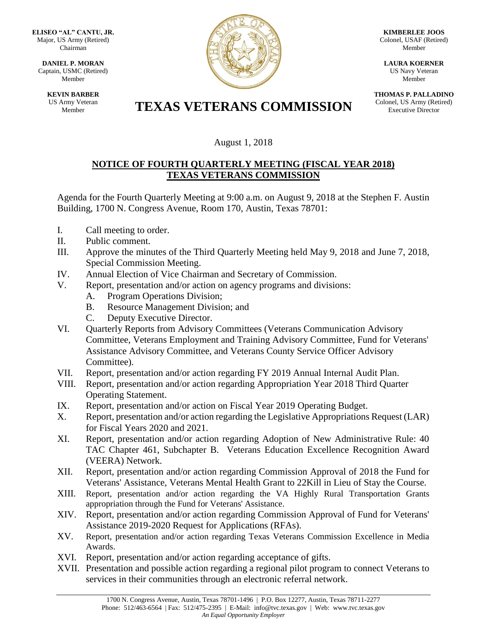**ELISEO "AL" CANTU, JR.** Major, US Army (Retired) Chairman

**DANIEL P. MORAN** Captain, USMC (Retired) Member

> **KEVIN BARBER** US Army Veteran



**KIMBERLEE JOOS** Colonel, USAF (Retired) Member

**LAURA KOERNER** US Navy Veteran Member

**THOMAS P. PALLADINO** Colonel, US Army (Retired) Executive Director

## **TEXAS VETERANS COMMISSION**

## August 1, 2018

## **NOTICE OF FOURTH QUARTERLY MEETING (FISCAL YEAR 2018) TEXAS VETERANS COMMISSION**

Agenda for the Fourth Quarterly Meeting at 9:00 a.m. on August 9, 2018 at the Stephen F. Austin Building, 1700 N. Congress Avenue, Room 170, Austin, Texas 78701:

- I. Call meeting to order.
- II. Public comment.
- III. Approve the minutes of the Third Quarterly Meeting held May 9, 2018 and June 7, 2018, Special Commission Meeting.
- IV. Annual Election of Vice Chairman and Secretary of Commission.
- V. Report, presentation and/or action on agency programs and divisions:
	- A. Program Operations Division;
	- B. Resource Management Division; and
	- C. Deputy Executive Director.
- VI. Quarterly Reports from Advisory Committees (Veterans Communication Advisory Committee, Veterans Employment and Training Advisory Committee, Fund for Veterans' Assistance Advisory Committee, and Veterans County Service Officer Advisory Committee).
- VII. Report, presentation and/or action regarding FY 2019 Annual Internal Audit Plan.
- VIII. Report, presentation and/or action regarding Appropriation Year 2018 Third Quarter Operating Statement.
- IX. Report, presentation and/or action on Fiscal Year 2019 Operating Budget.
- X. Report, presentation and/or action regarding the Legislative Appropriations Request (LAR) for Fiscal Years 2020 and 2021.
- XI. Report, presentation and/or action regarding Adoption of New Administrative Rule: 40 TAC Chapter 461, Subchapter B. Veterans Education Excellence Recognition Award (VEERA) Network.
- XII. Report, presentation and/or action regarding Commission Approval of 2018 the Fund for Veterans' Assistance, Veterans Mental Health Grant to 22Kill in Lieu of Stay the Course.
- XIII. Report, presentation and/or action regarding the VA Highly Rural Transportation Grants appropriation through the Fund for Veterans' Assistance.
- XIV. Report, presentation and/or action regarding Commission Approval of Fund for Veterans' Assistance 2019-2020 Request for Applications (RFAs).
- XV. Report, presentation and/or action regarding Texas Veterans Commission Excellence in Media Awards.
- XVI. Report, presentation and/or action regarding acceptance of gifts.
- XVII. Presentation and possible action regarding a regional pilot program to connect Veterans to services in their communities through an electronic referral network.